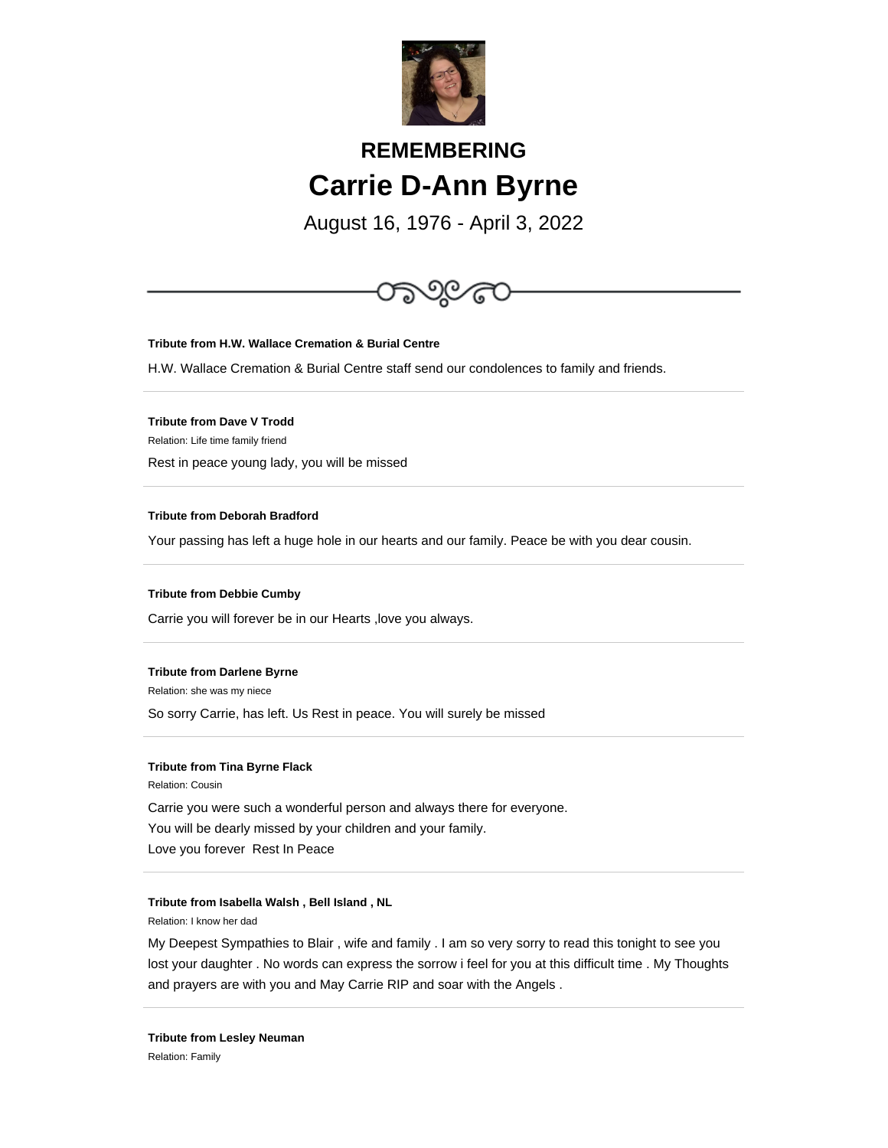

# **REMEMBERING Carrie D-Ann Byrne**

August 16, 1976 - April 3, 2022



**Tribute from H.W. Wallace Cremation & Burial Centre**

H.W. Wallace Cremation & Burial Centre staff send our condolences to family and friends.

**Tribute from Dave V Trodd** Relation: Life time family friend Rest in peace young lady, you will be missed

## **Tribute from Deborah Bradford**

Your passing has left a huge hole in our hearts and our family. Peace be with you dear cousin.

## **Tribute from Debbie Cumby**

Carrie you will forever be in our Hearts ,love you always.

## **Tribute from Darlene Byrne**

Relation: she was my niece

So sorry Carrie, has left. Us Rest in peace. You will surely be missed

## **Tribute from Tina Byrne Flack**

Relation: Cousin Carrie you were such a wonderful person and always there for everyone. You will be dearly missed by your children and your family. Love you forever Rest In Peace

## **Tribute from Isabella Walsh , Bell Island , NL**

Relation: I know her dad

My Deepest Sympathies to Blair , wife and family . I am so very sorry to read this tonight to see you lost your daughter . No words can express the sorrow i feel for you at this difficult time . My Thoughts and prayers are with you and May Carrie RIP and soar with the Angels .

**Tribute from Lesley Neuman** Relation: Family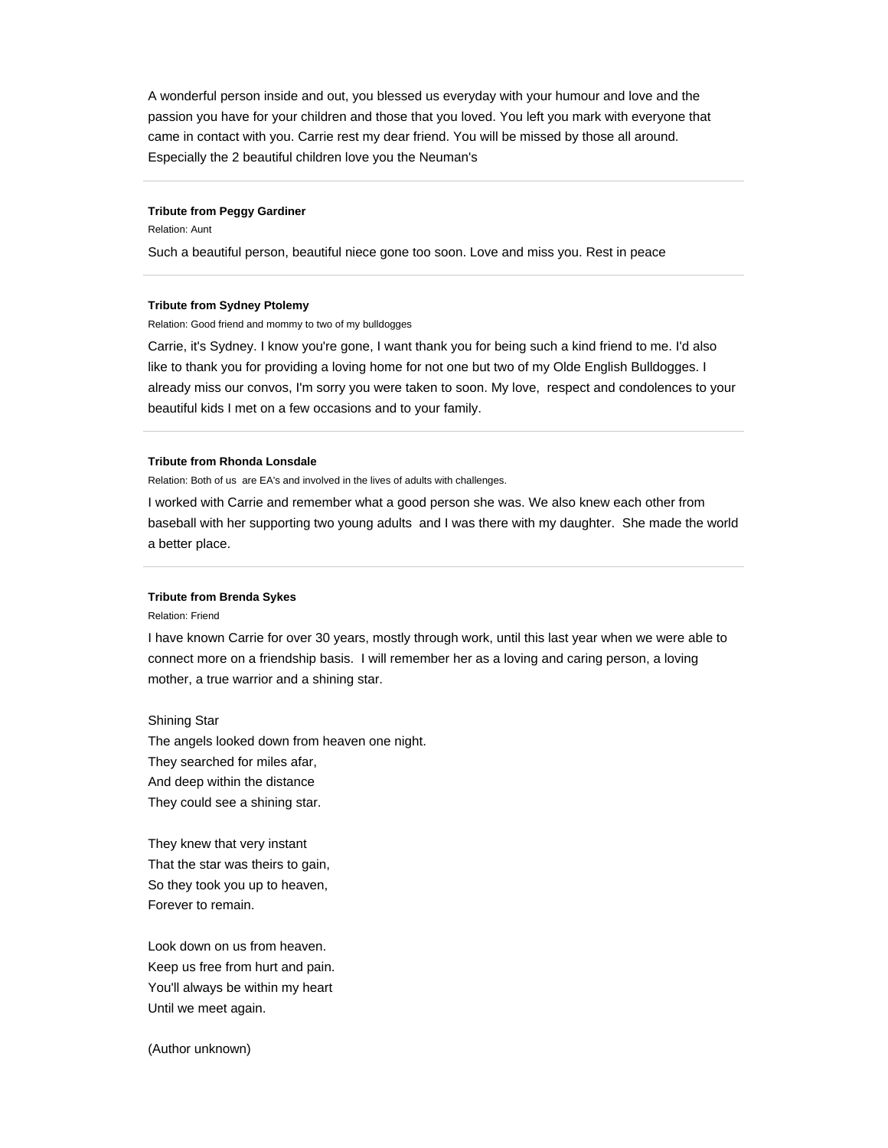A wonderful person inside and out, you blessed us everyday with your humour and love and the passion you have for your children and those that you loved. You left you mark with everyone that came in contact with you. Carrie rest my dear friend. You will be missed by those all around. Especially the 2 beautiful children love you the Neuman's

#### **Tribute from Peggy Gardiner**

Relation: Aunt

Such a beautiful person, beautiful niece gone too soon. Love and miss you. Rest in peace

#### **Tribute from Sydney Ptolemy**

Relation: Good friend and mommy to two of my bulldogges

Carrie, it's Sydney. I know you're gone, I want thank you for being such a kind friend to me. I'd also like to thank you for providing a loving home for not one but two of my Olde English Bulldogges. I already miss our convos, I'm sorry you were taken to soon. My love, respect and condolences to your beautiful kids I met on a few occasions and to your family.

## **Tribute from Rhonda Lonsdale**

Relation: Both of us are EA's and involved in the lives of adults with challenges.

I worked with Carrie and remember what a good person she was. We also knew each other from baseball with her supporting two young adults and I was there with my daughter. She made the world a better place.

## **Tribute from Brenda Sykes**

Relation: Friend

I have known Carrie for over 30 years, mostly through work, until this last year when we were able to connect more on a friendship basis. I will remember her as a loving and caring person, a loving mother, a true warrior and a shining star.

Shining Star

The angels looked down from heaven one night. They searched for miles afar, And deep within the distance They could see a shining star.

They knew that very instant That the star was theirs to gain, So they took you up to heaven, Forever to remain.

Look down on us from heaven. Keep us free from hurt and pain. You'll always be within my heart Until we meet again.

(Author unknown)